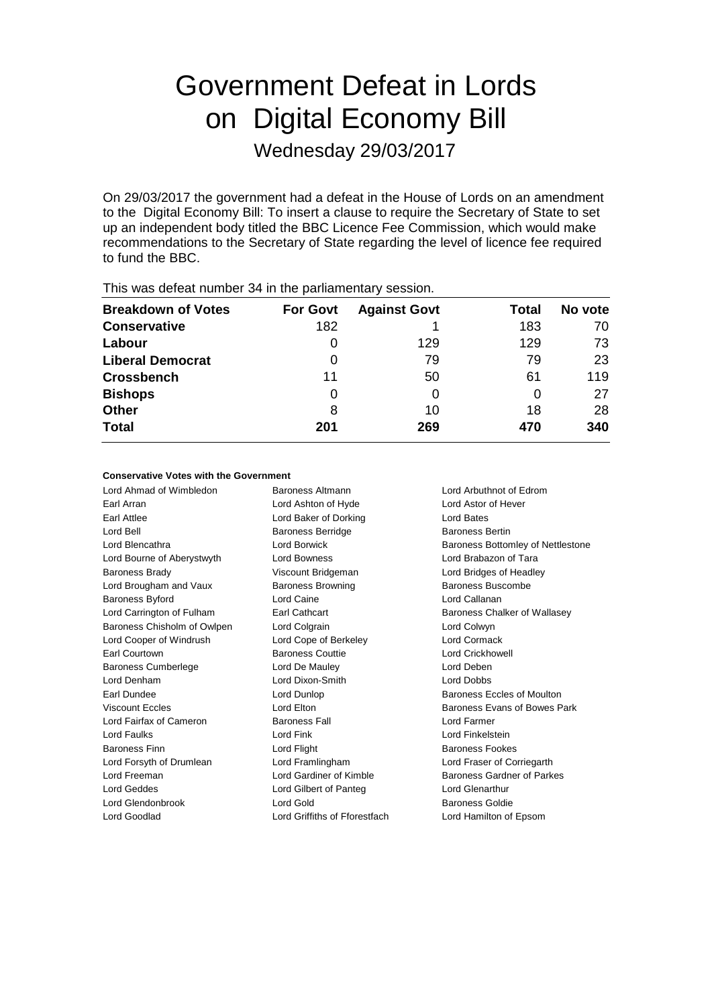# Government Defeat in Lords on Digital Economy Bill

Wednesday 29/03/2017

On 29/03/2017 the government had a defeat in the House of Lords on an amendment to the Digital Economy Bill: To insert a clause to require the Secretary of State to set up an independent body titled the BBC Licence Fee Commission, which would make recommendations to the Secretary of State regarding the level of licence fee required to fund the BBC.

| This was abloat harnoor of in the parliamentary occolor. |                 |                     |       |         |  |  |  |
|----------------------------------------------------------|-----------------|---------------------|-------|---------|--|--|--|
| <b>Breakdown of Votes</b>                                | <b>For Govt</b> | <b>Against Govt</b> | Total | No vote |  |  |  |
| <b>Conservative</b>                                      | 182             |                     | 183   | 70      |  |  |  |
| Labour                                                   | O               | 129                 | 129   | 73      |  |  |  |
| <b>Liberal Democrat</b>                                  | 0               | 79                  | 79    | 23      |  |  |  |
| <b>Crossbench</b>                                        | 11              | 50                  | 61    | 119     |  |  |  |
| <b>Bishops</b>                                           | 0               | 0                   | 0     | 27      |  |  |  |
| <b>Other</b>                                             | 8               | 10                  | 18    | 28      |  |  |  |
| <b>Total</b>                                             | 201             | 269                 | 470   | 340     |  |  |  |
|                                                          |                 |                     |       |         |  |  |  |

This was defeat number 34 in the parliamentary session.

## **Conservative Votes with the Government**

Lord Ahmad of Wimbledon Baroness Altmann Lord Arbuthnot of Edrom Earl Arran Lord Ashton of Hyde Lord Astor of Hever Earl Attlee **Lord Baker of Dorking** Lord Bates Lord Bell **Baroness Berridge** Baroness Bertin Lord Blencathra Lord Borwick Baroness Bottomley of Nettlestone Lord Bourne of Aberystwyth Lord Bowness Lord Brabazon of Tara Baroness Brady Viscount Bridgeman Lord Bridges of Headley Lord Brougham and Vaux **Baroness Browning** Baroness Buscombe Baroness Byford Lord Caine Lord Callanan Lord Carrington of Fulham Earl Cathcart **Earl Cathcart** Baroness Chalker of Wallasey Baroness Chisholm of Owlpen Lord Colgrain Lord Colwyn Lord Cooper of Windrush Lord Cope of Berkeley Lord Cormack Earl Courtown Baroness Couttie Lord Crickhowell Baroness Cumberlege Lord De Mauley Lord Deben Lord Denham Lord Dixon-Smith Lord Dobbs Earl Dundee **Lord Dunlop Lord Dunlop Baroness Eccles of Moulton** Viscount Eccles **Lord Elton** Lord Elton **Baroness Evans of Bowes Park** Lord Fairfax of Cameron Baroness Fall Lord Farmer Lord Faulks Lord Fink Lord Finkelstein Baroness Finn **Baroness Fookes** Lord Flight **Baroness Fookes Baroness Fookes** Lord Forsyth of Drumlean Lord Framlingham Lord Fraser of Corriegarth Lord Freeman Lord Gardiner of Kimble Baroness Gardner of Parkes Lord Geddes Lord Gilbert of Panteg Lord Glenarthur Lord Glendonbrook Lord Gold Baroness Goldie Lord Goodlad Lord Griffiths of Fforestfach Lord Hamilton of Epsom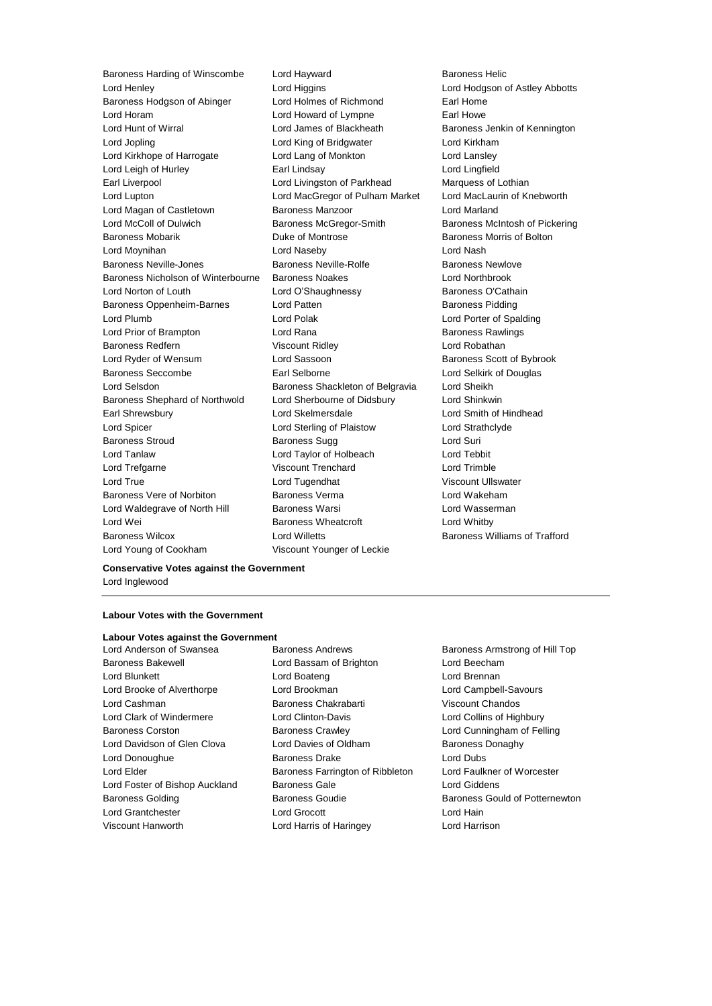Lord Henley Lord Higgins Lord Hodgson of Astley Abbotts Baroness Hodgson of Abinger Lord Holmes of Richmond Earl Home Lord Horam Lord Howard of Lympne Earl Howe Lord Hunt of Wirral Lord James of Blackheath Baroness Jenkin of Kennington Lord Jopling Lord King of Bridgwater Lord Kirkham Lord Kirkhope of Harrogate **Lord Lang of Monkton** Lord Lansley Lord Leigh of Hurley **Earl Lindsay** Earl Lindsay **Lord Lingfield** Earl Liverpool Lord Livingston of Parkhead Marquess of Lothian Lord Lupton Lord MacGregor of Pulham Market Lord MacLaurin of Knebworth Lord Magan of Castletown **Baroness Manzoor Baroness Manzoor** Lord Marland Lord McColl of Dulwich Baroness McGregor-Smith Baroness McIntosh of Pickering Baroness Mobarik **Baroness Mobarik Duke of Montrose Baroness Morris of Bolton** Lord Moynihan Lord Naseby Lord Nash Baroness Neville-Jones Baroness Neville-Rolfe Baroness Newlove Baroness Nicholson of Winterbourne Baroness Noakes Lord Northbrook Lord Norton of Louth Lord O'Shaughnessy Baroness O'Cathain Baroness Oppenheim-Barnes Lord Patten **Baroness Pidding** Baroness Pidding Lord Plumb Lord Polak Lord Porter of Spalding Lord Prior of Brampton Lord Rana Baroness Rawlings Baroness Redfern Viscount Ridley Lord Robathan Lord Ryder of Wensum **Lord Sassoon** Baroness Scott of Bybrook Baroness Seccombe **Earl Selborne Earl Selborne Lord Selkirk of Douglas** Lord Selsdon **Baroness Shackleton of Belgravia** Lord Sheikh Baroness Shephard of Northwold Lord Sherbourne of Didsbury Lord Shinkwin Earl Shrewsbury Lord Skelmersdale Lord Smith of Hindhead Lord Spicer Lord Sterling of Plaistow Lord Strathclyde Baroness Stroud Baroness Sugg Lord Suri Lord Tanlaw Lord Taylor of Holbeach Lord Tebbit Lord Trefgarne Viscount Trenchard Lord Trimble Lord True Lord Tugendhat Viscount Ullswater Baroness Vere of Norbiton Baroness Verma Lord Wakeham Lord Waldegrave of North Hill Baroness Warsi **Lord Wasserman** Lord Wei **Baroness Wheatcroft** Lord Whitby **Containers** Baroness Wilcox **Lord Willetts** Baroness Williams of Trafford Baroness Williams of Trafford Lord Young of Cookham Viscount Younger of Leckie

Baroness Harding of Winscombe Lord Hayward **Baroness Helic** Baroness Helic

# **Conservative Votes against the Government** Lord Inglewood

# **Labour Votes with the Government**

#### **Labour Votes against the Government**

Baroness Bakewell Lord Bassam of Brighton Lord Beecham Lord Blunkett Lord Boateng Lord Brennan Lord Brooke of Alverthorpe Lord Brookman Lord Campbell-Savours Lord Cashman Baroness Chakrabarti Viscount Chandos Lord Clark of Windermere Lord Clinton-Davis Lord Collins of Highbury Baroness Corston Baroness Crawley Lord Cunningham of Felling Lord Davidson of Glen Clova Lord Davies of Oldham Baroness Donaghy Lord Donoughue **Baroness Drake** Lord Dubs Lord Elder **Baroness Farrington of Ribbleton** Lord Faulkner of Worcester Lord Foster of Bishop Auckland Baroness Gale Lord Giddens Lord Grantchester Lord Grocott Lord Hain

Lord Anderson of Swansea Baroness Andrews Baroness Armstrong of Hill Top Viscount Hanworth Lord Harris of Haringey Lord Harrison

Baroness Golding **Baroness Goudie** Baroness Gould **Baroness Gould of Potternewton**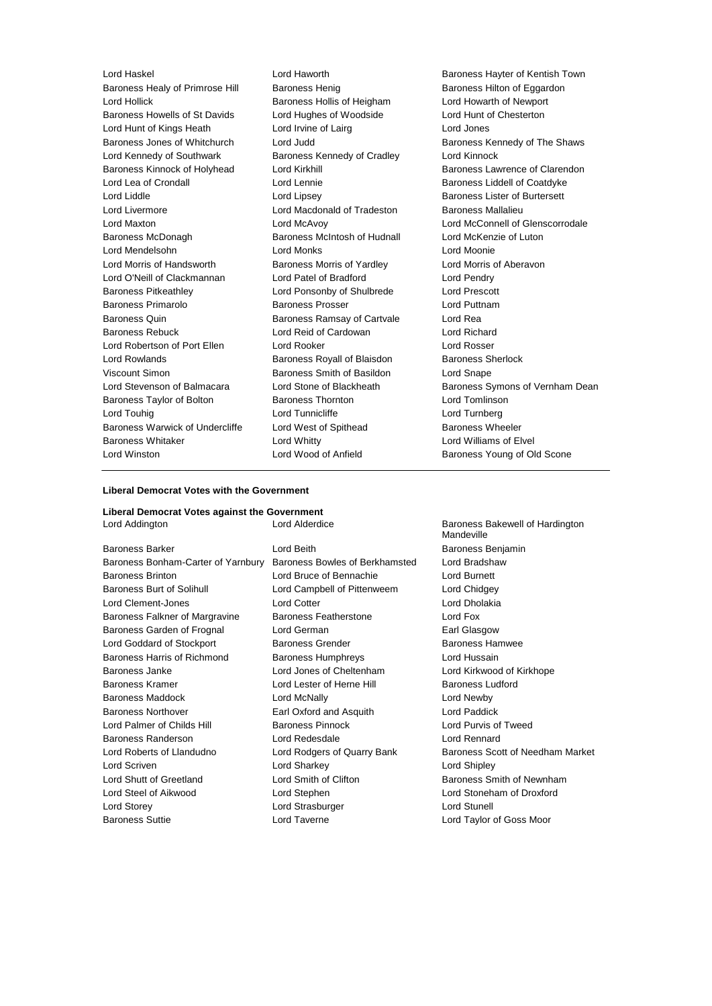Baroness Healy of Primrose Hill Baroness Henig Baroness Hilton of Eggardon Lord Hollick Baroness Hollis of Heigham Lord Howarth of Newport Baroness Howells of St Davids Lord Hughes of Woodside Lord Hunt of Chesterton Lord Hunt of Kings Heath Lord Irvine of Lairg Lord Jones Baroness Jones of Whitchurch Lord Judd Baroness Kennedy of The Shaws Lord Kennedy of Southwark **Baroness Kennedy of Cradley** Lord Kinnock Baroness Kinnock of Holyhead Lord Kirkhill Baroness Lawrence of Clarendon Lord Lea of Crondall **Lord Lennie** Lord Lennie **Baroness Liddell of Coatdyke** Lord Liddle Lord Lipsey Baroness Lister of Burtersett Lord Livermore **Lord Macdonald of Tradeston** Baroness Mallalieu Lord Maxton Lord McAvoy Lord McConnell of Glenscorrodale Baroness McDonagh Baroness McIntosh of Hudnall Lord McKenzie of Luton Lord Mendelsohn Lord Monks Lord Moonie Lord Morris of Handsworth Baroness Morris of Yardley Lord Morris of Aberavon Lord O'Neill of Clackmannan Lord Patel of Bradford Lord Pendry Baroness Pitkeathley Lord Ponsonby of Shulbrede Lord Prescott Baroness Primarolo **Baroness Prosser Baroness Prosser** Lord Puttnam Baroness Quin **Baroness Ramsay of Cartvale** Lord Rea Baroness Rebuck **Lord Reid of Cardowan** Lord Richard Lord Robertson of Port Ellen Lord Rooker Lord Rosser Lord Rowlands **Baroness Royall of Blaisdon** Baroness Sherlock Viscount Simon Baroness Smith of Basildon Lord Snape Lord Stevenson of Balmacara Lord Stone of Blackheath Baroness Symons of Vernham Dean Baroness Taylor of Bolton **Baroness Thornton** Baroness Thornton **Lord Tomlinson** Lord Touhig Lord Tunnicliffe Lord Turnberg Baroness Warwick of Undercliffe Lord West of Spithead Baroness Wheeler Baroness Whitaker **Lord Whitty** Lord Whitty **Lord Williams of Elvel** Lord Winston Lord Wood of Anfield Baroness Young of Old Scone

Lord Haskel **Lord Haworth Baroness Hayter of Kentish Town** 

# **Liberal Democrat Votes with the Government**

# **Liberal Democrat Votes against the Government**

| Lord Addington                     | Lord Alderdice                 | Baroness Bakewell of Hardington<br>Mandeville |
|------------------------------------|--------------------------------|-----------------------------------------------|
| <b>Baroness Barker</b>             | Lord Beith                     | Baroness Benjamin                             |
| Baroness Bonham-Carter of Yarnbury | Baroness Bowles of Berkhamsted | Lord Bradshaw                                 |
| <b>Baroness Brinton</b>            | Lord Bruce of Bennachie        | <b>Lord Burnett</b>                           |
| Baroness Burt of Solihull          | Lord Campbell of Pittenweem    | Lord Chidgey                                  |
| Lord Clement-Jones                 | <b>Lord Cotter</b>             | Lord Dholakia                                 |
| Baroness Falkner of Margravine     | Baroness Featherstone          | Lord Fox                                      |
| Baroness Garden of Frognal         | Lord German                    | Earl Glasgow                                  |
| Lord Goddard of Stockport          | <b>Baroness Grender</b>        | <b>Baroness Hamwee</b>                        |
| Baroness Harris of Richmond        | Baroness Humphreys             | Lord Hussain                                  |
| Baroness Janke                     | Lord Jones of Cheltenham       | Lord Kirkwood of Kirkhope                     |
| <b>Baroness Kramer</b>             | Lord Lester of Herne Hill      | <b>Baroness Ludford</b>                       |
| Baroness Maddock                   | Lord McNally                   | Lord Newby                                    |
| <b>Baroness Northover</b>          | Earl Oxford and Asquith        | <b>Lord Paddick</b>                           |
| Lord Palmer of Childs Hill         | <b>Baroness Pinnock</b>        | Lord Purvis of Tweed                          |
| Baroness Randerson                 | Lord Redesdale                 | Lord Rennard                                  |
| Lord Roberts of Llandudno          | Lord Rodgers of Quarry Bank    | Baroness Scott of Needham Market              |
| Lord Scriven                       | Lord Sharkey                   | Lord Shipley                                  |
| Lord Shutt of Greetland            | Lord Smith of Clifton          | Baroness Smith of Newnham                     |
| Lord Steel of Aikwood              | Lord Stephen                   | Lord Stoneham of Droxford                     |
| Lord Storey                        | Lord Strasburger               | <b>Lord Stunell</b>                           |
| <b>Baroness Suttie</b>             | Lord Taverne                   | Lord Taylor of Goss Moor                      |